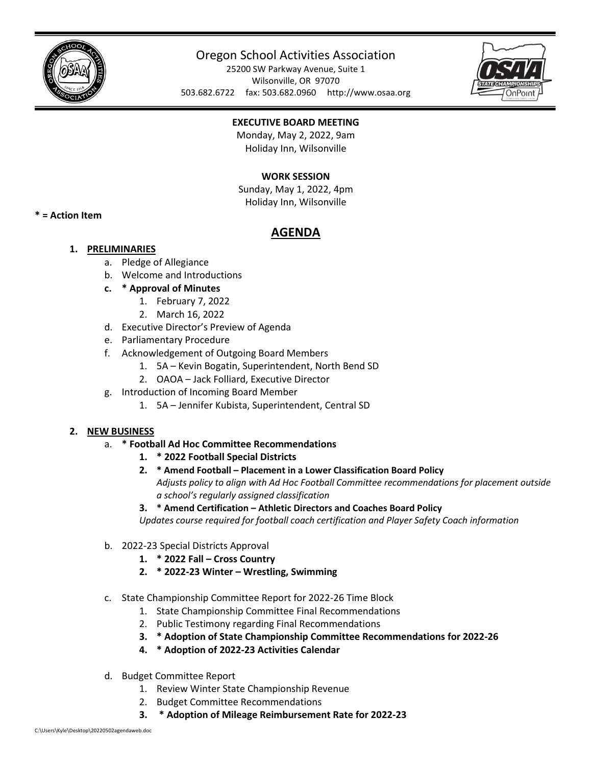

# Oregon School Activities Association

25200 SW Parkway Avenue, Suite 1 Wilsonville, OR 97070 503.682.6722 fax: 503.682.0960 http://www.osaa.org



## **EXECUTIVE BOARD MEETING**

Monday, May 2, 2022, 9am Holiday Inn, Wilsonville

## **WORK SESSION**

Sunday, May 1, 2022, 4pm Holiday Inn, Wilsonville

**\* = Action Item**

## **AGENDA**

## **1. PRELIMINARIES**

- a. Pledge of Allegiance
- b. Welcome and Introductions
- **c. \* Approval of Minutes**
	- 1. February 7, 2022
	- 2. March 16, 2022
- d. Executive Director's Preview of Agenda
- e. Parliamentary Procedure
- f. Acknowledgement of Outgoing Board Members
	- 1. 5A Kevin Bogatin, Superintendent, North Bend SD
	- 2. OAOA Jack Folliard, Executive Director
- g. Introduction of Incoming Board Member
	- 1. 5A Jennifer Kubista, Superintendent, Central SD

### **2. NEW BUSINESS**

- a. **\* Football Ad Hoc Committee Recommendations**
	- **1. \* 2022 Football Special Districts**
	- **2. \* Amend Football – Placement in a Lower Classification Board Policy**  *Adjusts policy to align with Ad Hoc Football Committee recommendations for placement outside a school's regularly assigned classification*
	- **3. \* Amend Certification – Athletic Directors and Coaches Board Policy**

*Updates course required for football coach certification and Player Safety Coach information*

- b. 2022-23 Special Districts Approval
	- **1. \* 2022 Fall – Cross Country**
	- **2. \* 2022-23 Winter – Wrestling, Swimming**
- c. State Championship Committee Report for 2022-26 Time Block
	- 1. State Championship Committee Final Recommendations
	- 2. Public Testimony regarding Final Recommendations
	- **3. \* Adoption of State Championship Committee Recommendations for 2022-26**
	- **4. \* Adoption of 2022-23 Activities Calendar**
- d. Budget Committee Report
	- 1. Review Winter State Championship Revenue
	- 2. Budget Committee Recommendations
	- **3. \* Adoption of Mileage Reimbursement Rate for 2022-23**